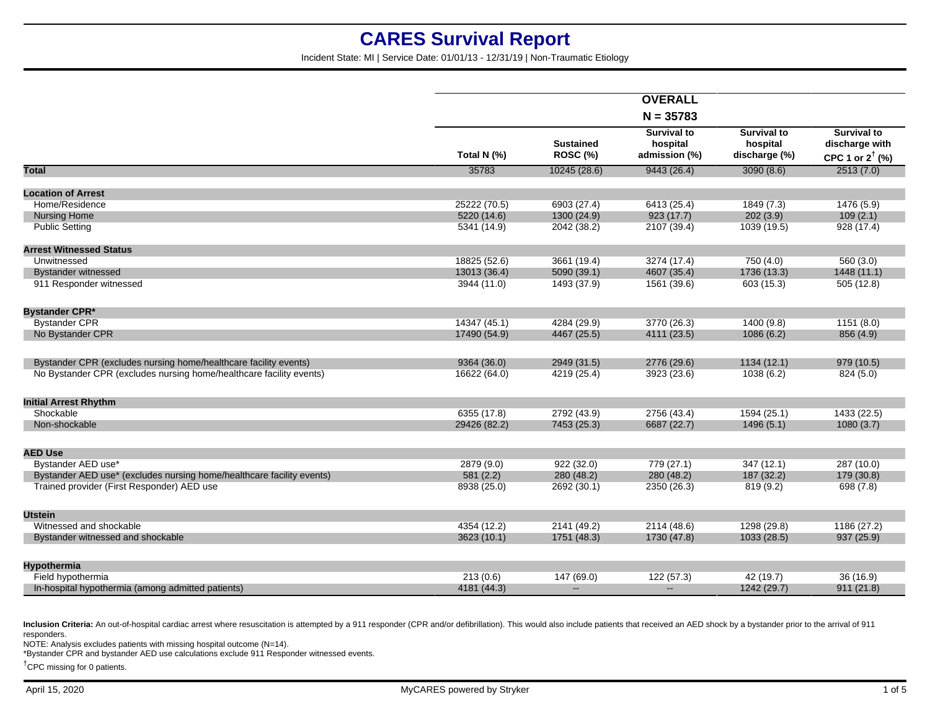Incident State: MI | Service Date: 01/01/13 - 12/31/19 | Non-Traumatic Etiology

|                                                                       |              |                                     | <b>OVERALL</b>                                  |                                                 |                                              |
|-----------------------------------------------------------------------|--------------|-------------------------------------|-------------------------------------------------|-------------------------------------------------|----------------------------------------------|
|                                                                       |              |                                     | $N = 35783$                                     |                                                 |                                              |
|                                                                       |              |                                     |                                                 |                                                 | <b>Survival to</b>                           |
|                                                                       | Total N (%)  | <b>Sustained</b><br><b>ROSC (%)</b> | <b>Survival to</b><br>hospital<br>admission (%) | <b>Survival to</b><br>hospital<br>discharge (%) | discharge with<br>CPC 1 or $2^{\dagger}$ (%) |
| Total                                                                 | 35783        | 10245(28.6)                         | 9443(26.4)                                      | 3090(8.6)                                       | 2513(7.0)                                    |
| <b>Location of Arrest</b>                                             |              |                                     |                                                 |                                                 |                                              |
| Home/Residence                                                        | 25222 (70.5) | 6903 (27.4)                         | 6413 (25.4)                                     | 1849 (7.3)                                      | 1476 (5.9)                                   |
| <b>Nursing Home</b>                                                   | 5220 (14.6)  | 1300 (24.9)                         | 923(17.7)                                       | 202(3.9)                                        | 109(2.1)                                     |
| <b>Public Setting</b>                                                 | 5341 (14.9)  | 2042 (38.2)                         | 2107 (39.4)                                     | 1039 (19.5)                                     | 928 (17.4)                                   |
| <b>Arrest Witnessed Status</b>                                        |              |                                     |                                                 |                                                 |                                              |
| Unwitnessed                                                           | 18825 (52.6) | 3661 (19.4)                         | 3274 (17.4)                                     | 750 (4.0)                                       | 560 (3.0)                                    |
| <b>Bystander witnessed</b>                                            | 13013 (36.4) | 5090 (39.1)                         | 4607 (35.4)                                     | 1736 (13.3)                                     | 1448 (11.1)                                  |
| 911 Responder witnessed                                               | 3944 (11.0)  | 1493 (37.9)                         | 1561 (39.6)                                     | 603 (15.3)                                      | 505 (12.8)                                   |
|                                                                       |              |                                     |                                                 |                                                 |                                              |
| <b>Bystander CPR*</b>                                                 |              |                                     |                                                 |                                                 |                                              |
| <b>Bystander CPR</b>                                                  | 14347 (45.1) | 4284 (29.9)                         | 3770 (26.3)                                     | 1400 (9.8)                                      | 1151(8.0)                                    |
| No Bystander CPR                                                      | 17490 (54.9) | 4467 (25.5)                         | 4111 (23.5)                                     | 1086(6.2)                                       | 856 (4.9)                                    |
| Bystander CPR (excludes nursing home/healthcare facility events)      | 9364 (36.0)  | 2949 (31.5)                         | 2776 (29.6)                                     | 1134(12.1)                                      | 979 (10.5)                                   |
| No Bystander CPR (excludes nursing home/healthcare facility events)   | 16622 (64.0) | 4219 (25.4)                         | 3923 (23.6)                                     | 1038 (6.2)                                      | 824 (5.0)                                    |
| <b>Initial Arrest Rhythm</b>                                          |              |                                     |                                                 |                                                 |                                              |
| Shockable                                                             | 6355 (17.8)  | 2792 (43.9)                         | 2756 (43.4)                                     | 1594 (25.1)                                     | 1433 (22.5)                                  |
| Non-shockable                                                         | 29426 (82.2) | 7453 (25.3)                         | 6687 (22.7)                                     | 1496(5.1)                                       | 1080(3.7)                                    |
|                                                                       |              |                                     |                                                 |                                                 |                                              |
| <b>AED Use</b>                                                        |              |                                     |                                                 |                                                 |                                              |
| Bystander AED use*                                                    | 2879 (9.0)   | 922(32.0)                           | 779(27.1)                                       | 347(12.1)                                       | 287 (10.0)                                   |
| Bystander AED use* (excludes nursing home/healthcare facility events) | 581(2.2)     | 280 (48.2)                          | 280 (48.2)                                      | 187 (32.2)                                      | 179 (30.8)                                   |
| Trained provider (First Responder) AED use                            | 8938 (25.0)  | 2692 (30.1)                         | 2350 (26.3)                                     | 819(9.2)                                        | 698(7.8)                                     |
| <b>Utstein</b>                                                        |              |                                     |                                                 |                                                 |                                              |
| Witnessed and shockable                                               | 4354 (12.2)  |                                     | 2114 (48.6)                                     | 1298 (29.8)                                     |                                              |
|                                                                       |              | 2141 (49.2)                         |                                                 |                                                 | 1186 (27.2)                                  |
| Bystander witnessed and shockable                                     | 3623 (10.1)  | 1751 (48.3)                         | 1730 (47.8)                                     | 1033 (28.5)                                     | 937 (25.9)                                   |
| Hypothermia                                                           |              |                                     |                                                 |                                                 |                                              |
| Field hypothermia                                                     | 213(0.6)     | 147 (69.0)                          | 122(57.3)                                       | 42(19.7)                                        | 36 (16.9)                                    |
| In-hospital hypothermia (among admitted patients)                     | 4181 (44.3)  | $\mathbf{u}$                        | $\overline{a}$                                  | 1242 (29.7)                                     | 911(21.8)                                    |

Inclusion Criteria: An out-of-hospital cardiac arrest where resuscitation is attempted by a 911 responder (CPR and/or defibrillation). This would also include patients that received an AED shock by a bystander prior to the responders.

NOTE: Analysis excludes patients with missing hospital outcome (N=14).

\*Bystander CPR and bystander AED use calculations exclude 911 Responder witnessed events.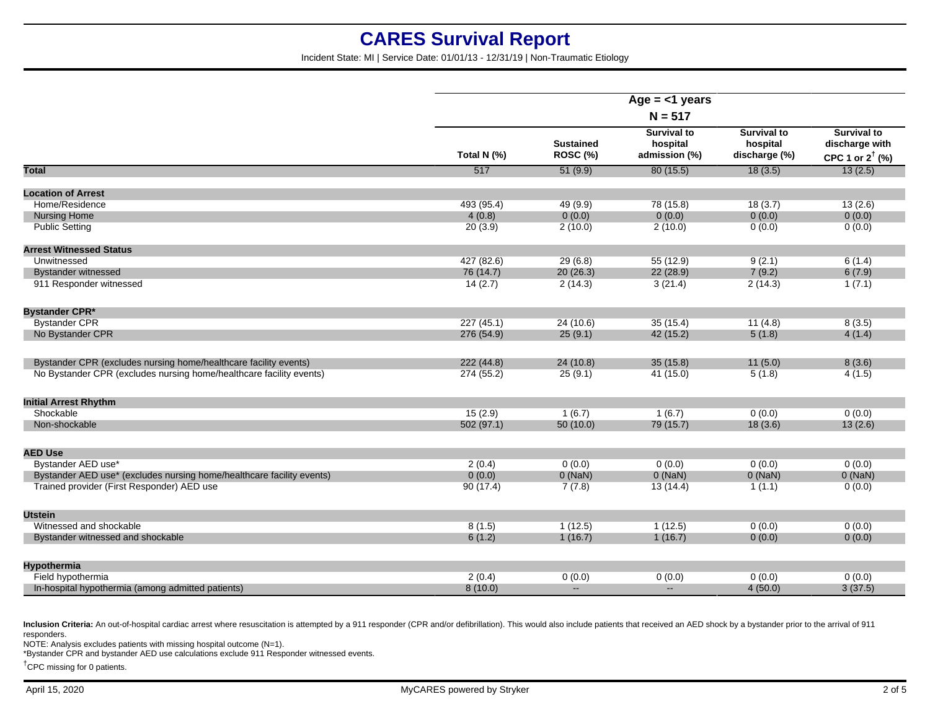Incident State: MI | Service Date: 01/01/13 - 12/31/19 | Non-Traumatic Etiology

|                                                                       | Age $=$ <1 years<br>$N = 517$ |                                     |                                                 |                                                 |                                                                    |
|-----------------------------------------------------------------------|-------------------------------|-------------------------------------|-------------------------------------------------|-------------------------------------------------|--------------------------------------------------------------------|
|                                                                       | Total N (%)                   | <b>Sustained</b><br><b>ROSC (%)</b> | <b>Survival to</b><br>hospital<br>admission (%) | <b>Survival to</b><br>hospital<br>discharge (%) | <b>Survival to</b><br>discharge with<br>CPC 1 or $2^{\dagger}$ (%) |
| <b>Total</b>                                                          | 517                           | 51(9.9)                             | 80(15.5)                                        | 18(3.5)                                         | 13(2.5)                                                            |
| <b>Location of Arrest</b>                                             |                               |                                     |                                                 |                                                 |                                                                    |
| Home/Residence                                                        | 493 (95.4)                    | 49 (9.9)                            | 78 (15.8)                                       | 18(3.7)                                         | 13(2.6)                                                            |
| <b>Nursing Home</b>                                                   | 4(0.8)                        | 0(0.0)                              | 0(0.0)                                          | 0(0.0)                                          | 0(0.0)                                                             |
| <b>Public Setting</b>                                                 | 20(3.9)                       | 2(10.0)                             | 2(10.0)                                         | 0(0.0)                                          | 0(0.0)                                                             |
| <b>Arrest Witnessed Status</b>                                        |                               |                                     |                                                 |                                                 |                                                                    |
| Unwitnessed                                                           | 427 (82.6)                    | 29(6.8)                             | 55 (12.9)                                       | 9(2.1)                                          | 6(1.4)                                                             |
| <b>Bystander witnessed</b>                                            | 76 (14.7)                     | 20(26.3)                            | 22 (28.9)                                       | 7(9.2)                                          | 6(7.9)                                                             |
| 911 Responder witnessed                                               | 14(2.7)                       | 2(14.3)                             | 3(21.4)                                         | 2(14.3)                                         | 1(7.1)                                                             |
| <b>Bystander CPR*</b>                                                 |                               |                                     |                                                 |                                                 |                                                                    |
| <b>Bystander CPR</b>                                                  | 227(45.1)                     | 24(10.6)                            | 35(15.4)                                        | 11(4.8)                                         | 8(3.5)                                                             |
| No Bystander CPR                                                      | 276 (54.9)                    | 25(9.1)                             | 42 (15.2)                                       | 5(1.8)                                          | 4(1.4)                                                             |
| Bystander CPR (excludes nursing home/healthcare facility events)      | 222(44.8)                     | 24 (10.8)                           | 35(15.8)                                        | 11(5.0)                                         | 8(3.6)                                                             |
| No Bystander CPR (excludes nursing home/healthcare facility events)   | 274 (55.2)                    | 25(9.1)                             | 41(15.0)                                        | 5(1.8)                                          | 4(1.5)                                                             |
| <b>Initial Arrest Rhythm</b>                                          |                               |                                     |                                                 |                                                 |                                                                    |
| Shockable                                                             | 15(2.9)                       | 1(6.7)                              | 1(6.7)                                          | 0(0.0)                                          | 0(0.0)                                                             |
| Non-shockable                                                         | 502(97.1)                     | 50(10.0)                            | 79 (15.7)                                       | 18(3.6)                                         | 13(2.6)                                                            |
| <b>AED Use</b>                                                        |                               |                                     |                                                 |                                                 |                                                                    |
| Bystander AED use*                                                    | 2(0.4)                        | 0(0.0)                              | 0(0.0)                                          | 0(0.0)                                          | 0(0.0)                                                             |
| Bystander AED use* (excludes nursing home/healthcare facility events) | 0(0.0)                        | $0$ (NaN)                           | $0$ (NaN)                                       | $0$ (NaN)                                       | $0$ (NaN)                                                          |
| Trained provider (First Responder) AED use                            | 90(17.4)                      | 7(7.8)                              | 13(14.4)                                        | 1(1.1)                                          | 0(0.0)                                                             |
| <b>Utstein</b>                                                        |                               |                                     |                                                 |                                                 |                                                                    |
| Witnessed and shockable                                               | 8(1.5)                        | 1(12.5)                             | 1(12.5)                                         | 0(0.0)                                          | 0(0.0)                                                             |
| Bystander witnessed and shockable                                     | 6(1.2)                        | 1(16.7)                             | 1(16.7)                                         | 0(0.0)                                          | 0(0.0)                                                             |
| <b>Hypothermia</b>                                                    |                               |                                     |                                                 |                                                 |                                                                    |
| Field hypothermia                                                     | 2(0.4)                        | 0(0.0)                              | 0(0.0)                                          | 0(0.0)                                          | 0(0.0)                                                             |
| In-hospital hypothermia (among admitted patients)                     | 8(10.0)                       | $\mathbf{L}$                        | $\mathbf{u}$                                    | 4(50.0)                                         | 3(37.5)                                                            |
|                                                                       |                               |                                     |                                                 |                                                 |                                                                    |

Inclusion Criteria: An out-of-hospital cardiac arrest where resuscitation is attempted by a 911 responder (CPR and/or defibrillation). This would also include patients that received an AED shock by a bystander prior to the responders.

NOTE: Analysis excludes patients with missing hospital outcome (N=1).

\*Bystander CPR and bystander AED use calculations exclude 911 Responder witnessed events.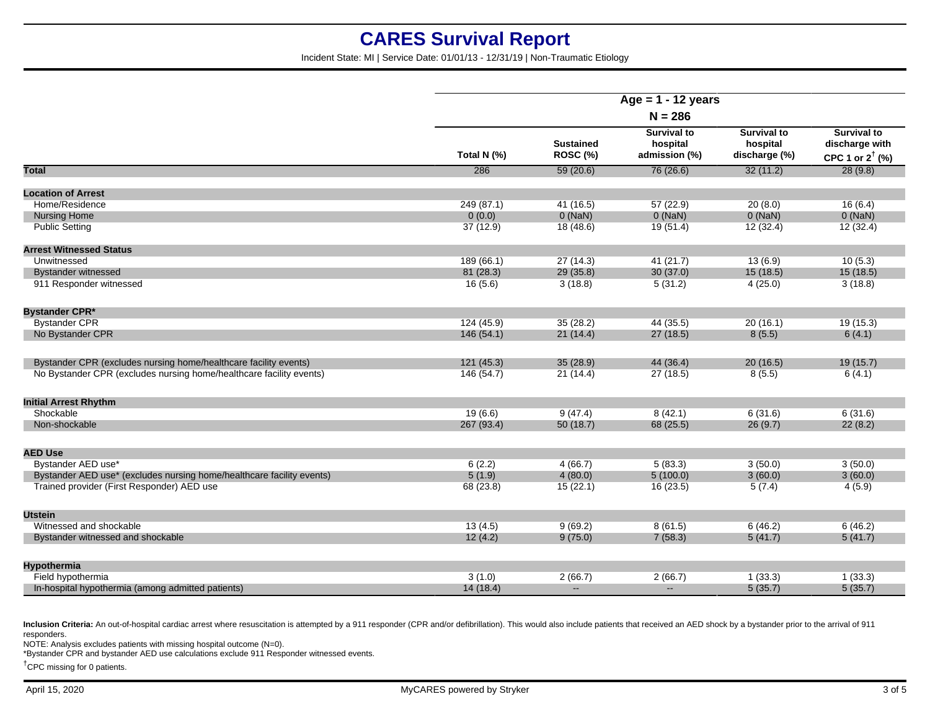Incident State: MI | Service Date: 01/01/13 - 12/31/19 | Non-Traumatic Etiology

|                                                                       | Age = $1 - 12$ years |                              |                                                 |                                                 |                                                             |
|-----------------------------------------------------------------------|----------------------|------------------------------|-------------------------------------------------|-------------------------------------------------|-------------------------------------------------------------|
|                                                                       | $N = 286$            |                              |                                                 |                                                 |                                                             |
|                                                                       | Total N (%)          | <b>Sustained</b><br>ROSC (%) | <b>Survival to</b><br>hospital<br>admission (%) | <b>Survival to</b><br>hospital<br>discharge (%) | Survival to<br>discharge with<br>CPC 1 or $2^{\dagger}$ (%) |
| Total                                                                 | 286                  | 59(20.6)                     | 76(26.6)                                        | 32(11.2)                                        | 28(9.8)                                                     |
| <b>Location of Arrest</b>                                             |                      |                              |                                                 |                                                 |                                                             |
| Home/Residence                                                        | 249(87.1)            | 41(16.5)                     | 57(22.9)                                        | 20(8.0)                                         | 16(6.4)                                                     |
| <b>Nursing Home</b>                                                   | 0(0.0)               | $0$ (NaN)                    | 0(NaN)                                          | $0$ (NaN)                                       | $0$ (NaN)                                                   |
| <b>Public Setting</b>                                                 | 37(12.9)             | 18(48.6)                     | 19(51.4)                                        | 12(32.4)                                        | 12(32.4)                                                    |
| <b>Arrest Witnessed Status</b>                                        |                      |                              |                                                 |                                                 |                                                             |
| Unwitnessed                                                           | 189(66.1)            | 27(14.3)                     | 41 (21.7)                                       | 13(6.9)                                         | 10(5.3)                                                     |
| <b>Bystander witnessed</b>                                            | 81 (28.3)            | 29 (35.8)                    | 30(37.0)                                        | 15(18.5)                                        | 15(18.5)                                                    |
| 911 Responder witnessed                                               | 16(5.6)              | 3(18.8)                      | 5(31.2)                                         | 4(25.0)                                         | 3(18.8)                                                     |
| <b>Bystander CPR*</b>                                                 |                      |                              |                                                 |                                                 |                                                             |
| <b>Bystander CPR</b>                                                  | 124 (45.9)           | 35(28.2)                     | 44 (35.5)                                       | 20(16.1)                                        | 19(15.3)                                                    |
| No Bystander CPR                                                      | 146(54.1)            | 21(14.4)                     | 27(18.5)                                        | 8(5.5)                                          | 6(4.1)                                                      |
| Bystander CPR (excludes nursing home/healthcare facility events)      | 121(45.3)            | 35(28.9)                     | 44 (36.4)                                       | 20(16.5)                                        | 19(15.7)                                                    |
| No Bystander CPR (excludes nursing home/healthcare facility events)   | 146 (54.7)           | 21(14.4)                     | 27(18.5)                                        | 8(5.5)                                          | 6(4.1)                                                      |
| <b>Initial Arrest Rhythm</b>                                          |                      |                              |                                                 |                                                 |                                                             |
| Shockable                                                             | 19(6.6)              | 9(47.4)                      | 8(42.1)                                         | 6(31.6)                                         | 6(31.6)                                                     |
| Non-shockable                                                         | 267 (93.4)           | 50(18.7)                     | 68 (25.5)                                       | 26(9.7)                                         | 22(8.2)                                                     |
| <b>AED Use</b>                                                        |                      |                              |                                                 |                                                 |                                                             |
| Bystander AED use*                                                    | 6(2.2)               | 4(66.7)                      | 5(83.3)                                         | 3(50.0)                                         | 3(50.0)                                                     |
| Bystander AED use* (excludes nursing home/healthcare facility events) | 5(1.9)               | 4(80.0)                      | 5(100.0)                                        | 3(60.0)                                         | 3(60.0)                                                     |
| Trained provider (First Responder) AED use                            | 68 (23.8)            | 15(22.1)                     | 16(23.5)                                        | 5(7.4)                                          | 4(5.9)                                                      |
| <b>Utstein</b>                                                        |                      |                              |                                                 |                                                 |                                                             |
| Witnessed and shockable                                               | 13(4.5)              | 9(69.2)                      | 8(61.5)                                         | 6(46.2)                                         | 6(46.2)                                                     |
| Bystander witnessed and shockable                                     | 12(4.2)              | 9(75.0)                      | 7(58.3)                                         | 5(41.7)                                         | 5(41.7)                                                     |
| <b>Hypothermia</b>                                                    |                      |                              |                                                 |                                                 |                                                             |
| Field hypothermia                                                     | 3(1.0)               | 2(66.7)                      | 2(66.7)                                         | 1(33.3)                                         | 1(33.3)                                                     |
| In-hospital hypothermia (among admitted patients)                     | 14(18.4)             | $\mathbf{u}$                 | $\overline{a}$                                  | 5(35.7)                                         | 5(35.7)                                                     |
|                                                                       |                      |                              |                                                 |                                                 |                                                             |

Inclusion Criteria: An out-of-hospital cardiac arrest where resuscitation is attempted by a 911 responder (CPR and/or defibrillation). This would also include patients that received an AED shock by a bystander prior to the responders.

NOTE: Analysis excludes patients with missing hospital outcome (N=0).

\*Bystander CPR and bystander AED use calculations exclude 911 Responder witnessed events.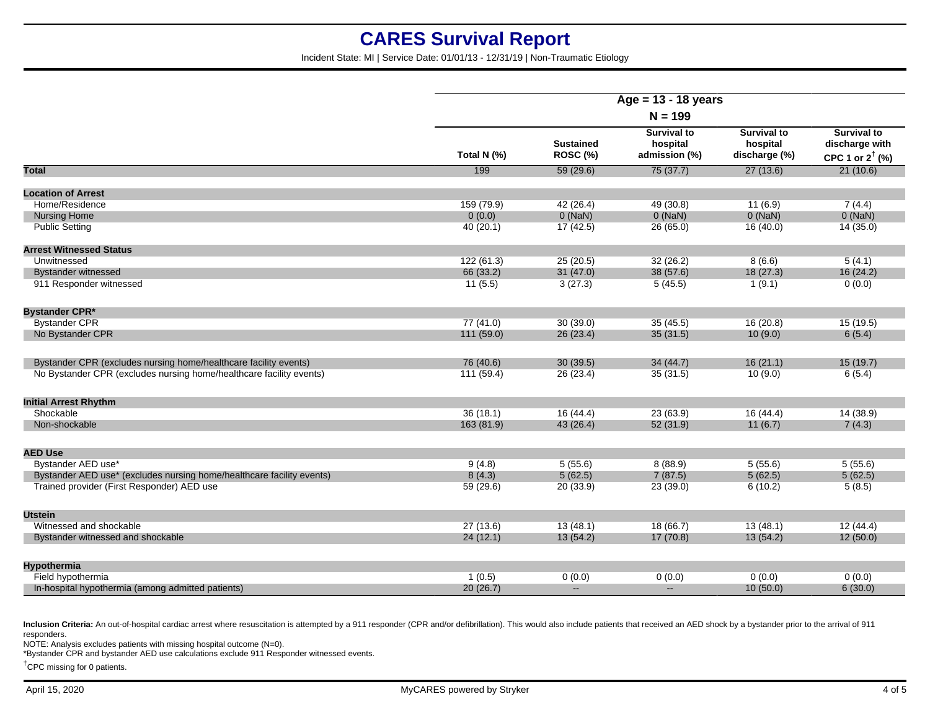Incident State: MI | Service Date: 01/01/13 - 12/31/19 | Non-Traumatic Etiology

| Age = $13 - 18$ years<br>$N = 199$<br><b>Survival to</b><br><b>Survival to</b><br><b>Sustained</b><br>hospital<br>hospital<br>ROSC (%)<br>Total N (%)<br>admission (%)<br>discharge (%)<br>199<br>Total<br>75(37.7)<br>27(13.6)<br>59(29.6)<br><b>Location of Arrest</b><br>Home/Residence<br>159 (79.9)<br>42 (26.4)<br>49 (30.8)<br>7(4.4)<br>11(6.9)<br>0(NaN)<br>0(NaN)<br>$0$ (NaN)<br><b>Nursing Home</b><br>0(0.0) |                                                                    |
|---------------------------------------------------------------------------------------------------------------------------------------------------------------------------------------------------------------------------------------------------------------------------------------------------------------------------------------------------------------------------------------------------------------------------|--------------------------------------------------------------------|
|                                                                                                                                                                                                                                                                                                                                                                                                                           |                                                                    |
|                                                                                                                                                                                                                                                                                                                                                                                                                           | <b>Survival to</b><br>discharge with<br>CPC 1 or $2^{\dagger}$ (%) |
|                                                                                                                                                                                                                                                                                                                                                                                                                           | 21(10.6)                                                           |
|                                                                                                                                                                                                                                                                                                                                                                                                                           |                                                                    |
|                                                                                                                                                                                                                                                                                                                                                                                                                           |                                                                    |
|                                                                                                                                                                                                                                                                                                                                                                                                                           | $0$ (NaN)                                                          |
| <b>Public Setting</b><br>40(20.1)<br>17(42.5)<br>26(65.0)<br>16(40.0)                                                                                                                                                                                                                                                                                                                                                     | 14(35.0)                                                           |
| <b>Arrest Witnessed Status</b>                                                                                                                                                                                                                                                                                                                                                                                            |                                                                    |
| Unwitnessed<br>122(61.3)<br>25(20.5)<br>32(26.2)<br>8(6.6)                                                                                                                                                                                                                                                                                                                                                                | 5(4.1)                                                             |
| 31(47.0)<br><b>Bystander witnessed</b><br>66 (33.2)<br>38 (57.6)<br>18(27.3)                                                                                                                                                                                                                                                                                                                                              | 16(24.2)                                                           |
| 911 Responder witnessed<br>3(27.3)<br>11(5.5)<br>5(45.5)<br>1(9.1)                                                                                                                                                                                                                                                                                                                                                        | 0(0.0)                                                             |
| <b>Bystander CPR*</b>                                                                                                                                                                                                                                                                                                                                                                                                     |                                                                    |
| <b>Bystander CPR</b><br>77(41.0)<br>30(39.0)<br>35(45.5)<br>16(20.8)                                                                                                                                                                                                                                                                                                                                                      | 15(19.5)                                                           |
| No Bystander CPR<br>26(23.4)<br>111(59.0)<br>35(31.5)<br>10(9.0)                                                                                                                                                                                                                                                                                                                                                          | 6(5.4)                                                             |
| Bystander CPR (excludes nursing home/healthcare facility events)<br>76 (40.6)<br>30(39.5)<br>34(44.7)<br>16(21.1)                                                                                                                                                                                                                                                                                                         | 15(19.7)                                                           |
| No Bystander CPR (excludes nursing home/healthcare facility events)<br>111(59.4)<br>26 (23.4)<br>35(31.5)<br>10(9.0)                                                                                                                                                                                                                                                                                                      | 6(5.4)                                                             |
| <b>Initial Arrest Rhythm</b>                                                                                                                                                                                                                                                                                                                                                                                              |                                                                    |
| Shockable<br>36(18.1)<br>16(44.4)<br>23(63.9)<br>16(44.4)                                                                                                                                                                                                                                                                                                                                                                 | 14(38.9)                                                           |
| 163(81.9)<br>43 (26.4)<br>52 (31.9)<br>Non-shockable<br>11(6.7)                                                                                                                                                                                                                                                                                                                                                           | 7(4.3)                                                             |
| <b>AED Use</b>                                                                                                                                                                                                                                                                                                                                                                                                            |                                                                    |
| Bystander AED use*<br>9(4.8)<br>5(55.6)<br>8(88.9)<br>5(55.6)                                                                                                                                                                                                                                                                                                                                                             | 5(55.6)                                                            |
| Bystander AED use* (excludes nursing home/healthcare facility events)<br>5(62.5)<br>7(87.5)<br>8(4.3)<br>5(62.5)                                                                                                                                                                                                                                                                                                          | 5(62.5)                                                            |
| Trained provider (First Responder) AED use<br>59 (29.6)<br>20 (33.9)<br>23 (39.0)<br>6(10.2)                                                                                                                                                                                                                                                                                                                              | 5(8.5)                                                             |
| <b>Utstein</b>                                                                                                                                                                                                                                                                                                                                                                                                            |                                                                    |
| 13(48.1)<br>18(66.7)<br>Witnessed and shockable<br>27(13.6)<br>13(48.1)                                                                                                                                                                                                                                                                                                                                                   | 12(44.4)                                                           |
| 24(12.1)<br>13(54.2)<br>17(70.8)<br>13(54.2)<br>Bystander witnessed and shockable                                                                                                                                                                                                                                                                                                                                         | 12(50.0)                                                           |
| <b>Hypothermia</b>                                                                                                                                                                                                                                                                                                                                                                                                        |                                                                    |
| 0(0.0)<br>Field hypothermia<br>1(0.5)<br>0(0.0)<br>0(0.0)                                                                                                                                                                                                                                                                                                                                                                 | 0(0.0)                                                             |
| 20(26.7)<br>In-hospital hypothermia (among admitted patients)<br>10(50.0)<br>$\mathbf{u}$<br>$\overline{a}$                                                                                                                                                                                                                                                                                                               | 6(30.0)                                                            |

Inclusion Criteria: An out-of-hospital cardiac arrest where resuscitation is attempted by a 911 responder (CPR and/or defibrillation). This would also include patients that received an AED shock by a bystander prior to the responders.

NOTE: Analysis excludes patients with missing hospital outcome (N=0).

\*Bystander CPR and bystander AED use calculations exclude 911 Responder witnessed events.